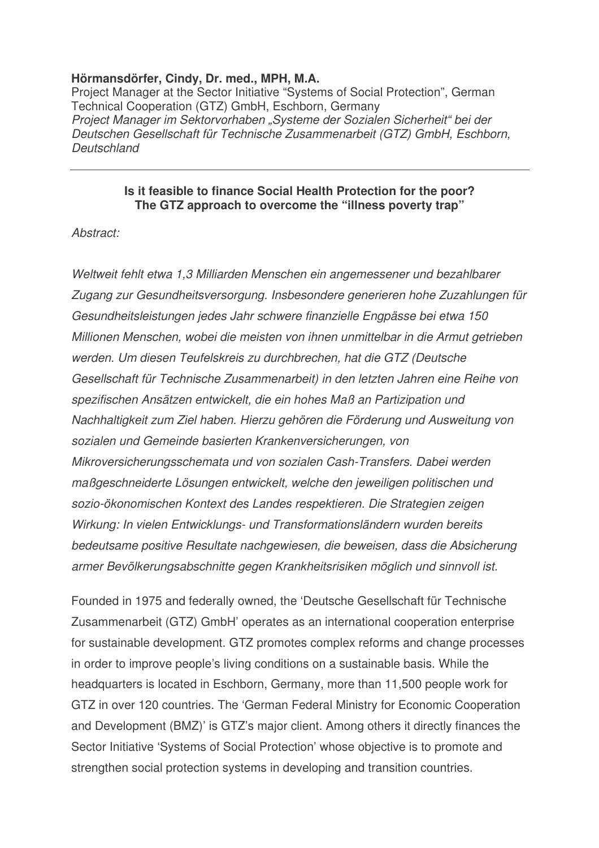## **Hörmansdörfer, Cindy, Dr. med., MPH, M.A.**

Project Manager at the Sector Initiative "Systems of Social Protection", German Technical Cooperation (GTZ) GmbH, Eschborn, Germany *Project Manager im Sektorvorhaben "Systeme der Sozialen Sicherheit" bei der Deutschen Gesellschaft für Technische Zusammenarbeit (GTZ) GmbH, Eschborn, Deutschland*

#### **Is it feasible to finance Social Health Protection for the poor? The GTZ approach to overcome the "illness poverty trap"**

*Abstract:*

*Weltweit fehlt etwa 1,3 Milliarden Menschen ein angemessener und bezahlbarer Zugang zur Gesundheitsversorgung. Insbesondere generieren hohe Zuzahlungen für Gesundheitsleistungen jedes Jahr schwere finanzielle Engpässe bei etwa 150 Millionen Menschen, wobei die meisten von ihnen unmittelbar in die Armut getrieben werden. Um diesen Teufelskreis zu durchbrechen, hat die GTZ (Deutsche Gesellschaft für Technische Zusammenarbeit) in den letzten Jahren eine Reihe von spezifischen Ansätzen entwickelt, die ein hohes Maß an Partizipation und Nachhaltigkeit zum Ziel haben. Hierzu gehören die Förderung und Ausweitung von sozialen und Gemeinde basierten Krankenversicherungen, von Mikroversicherungsschemata und von sozialen Cash-Transfers. Dabei werden maßgeschneiderte Lösungen entwickelt, welche den jeweiligen politischen und sozio-ökonomischen Kontext des Landes respektieren. Die Strategien zeigen Wirkung: In vielen Entwicklungs- und Transformationsländern wurden bereits bedeutsame positive Resultate nachgewiesen, die beweisen, dass die Absicherung armer Bevölkerungsabschnitte gegen Krankheitsrisiken möglich und sinnvoll ist.*

Founded in 1975 and federally owned, the 'Deutsche Gesellschaft für Technische Zusammenarbeit (GTZ) GmbH' operates as an international cooperation enterprise for sustainable development. GTZ promotes complex reforms and change processes in order to improve people's living conditions on a sustainable basis. While the headquarters is located in Eschborn, Germany, more than 11,500 people work for GTZ in over 120 countries. The 'German Federal Ministry for Economic Cooperation and Development (BMZ)' is GTZ's major client. Among others it directly finances the Sector Initiative 'Systems of Social Protection' whose objective is to promote and strengthen social protection systems in developing and transition countries.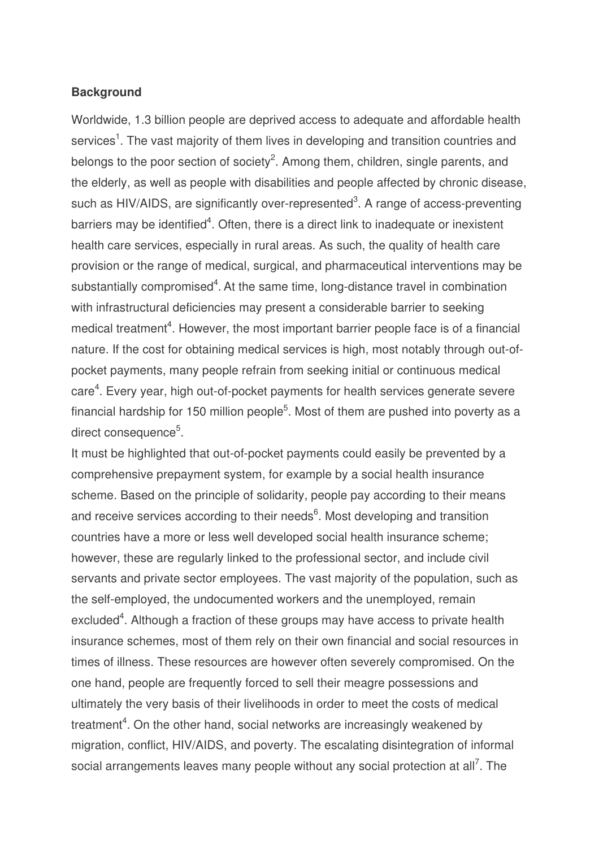## **Background**

Worldwide, 1.3 billion people are deprived access to adequate and affordable health services<sup>1</sup>. The vast majority of them lives in developing and transition countries and belongs to the poor section of society<sup>2</sup>. Among them, children, single parents, and the elderly, as well as people with disabilities and people affected by chronic disease, such as HIV/AIDS, are significantly over-represented<sup>3</sup>. A range of access-preventing barriers may be identified<sup>4</sup>. Often, there is a direct link to inadequate or inexistent health care services, especially in rural areas. As such, the quality of health care provision or the range of medical, surgical, and pharmaceutical interventions may be substantially compromised<sup>4</sup>. At the same time, long-distance travel in combination with infrastructural deficiencies may present a considerable barrier to seeking medical treatment<sup>4</sup>. However, the most important barrier people face is of a financial nature. If the cost for obtaining medical services is high, most notably through out-ofpocket payments, many people refrain from seeking initial or continuous medical care<sup>4</sup>. Every year, high out-of-pocket payments for health services generate severe financial hardship for 150 million people<sup>5</sup>. Most of them are pushed into poverty as a direct consequence<sup>5</sup>.

It must be highlighted that out-of-pocket payments could easily be prevented by a comprehensive prepayment system, for example by a social health insurance scheme. Based on the principle of solidarity, people pay according to their means and receive services according to their needs<sup>6</sup>. Most developing and transition countries have a more or less well developed social health insurance scheme; however, these are regularly linked to the professional sector, and include civil servants and private sector employees. The vast majority of the population, such as the self-employed, the undocumented workers and the unemployed, remain excluded<sup>4</sup>. Although a fraction of these groups may have access to private health insurance schemes, most of them rely on their own financial and social resources in times of illness. These resources are however often severely compromised. On the one hand, people are frequently forced to sell their meagre possessions and ultimately the very basis of their livelihoods in order to meet the costs of medical treatment<sup>4</sup>. On the other hand, social networks are increasingly weakened by migration, conflict, HIV/AIDS, and poverty. The escalating disintegration of informal social arrangements leaves many people without any social protection at all<sup>7</sup>. The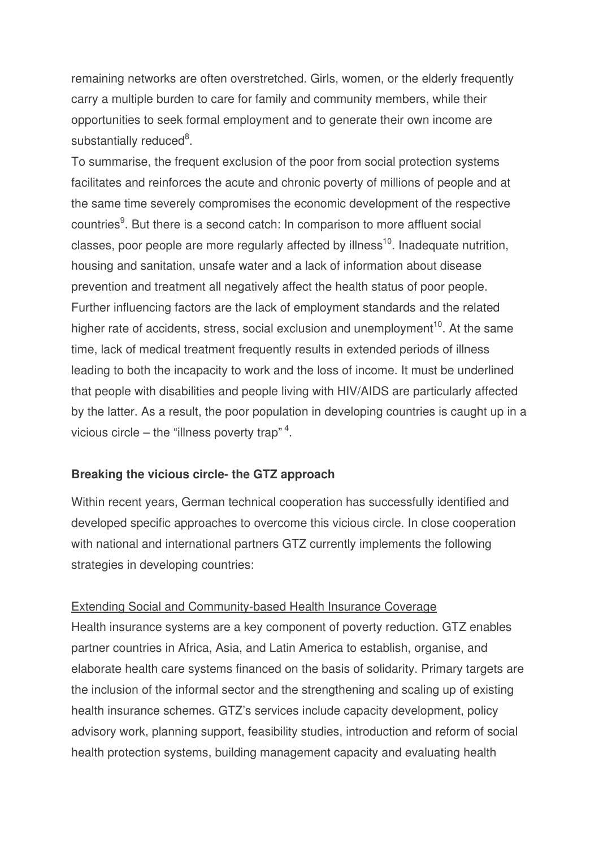remaining networks are often overstretched. Girls, women, or the elderly frequently carry a multiple burden to care for family and community members, while their opportunities to seek formal employment and to generate their own income are substantially reduced<sup>8</sup>.

To summarise, the frequent exclusion of the poor from social protection systems facilitates and reinforces the acute and chronic poverty of millions of people and at the same time severely compromises the economic development of the respective countries<sup>9</sup>. But there is a second catch: In comparison to more affluent social classes, poor people are more regularly affected by illness<sup>10</sup>. Inadequate nutrition, housing and sanitation, unsafe water and a lack of information about disease prevention and treatment all negatively affect the health status of poor people. Further influencing factors are the lack of employment standards and the related higher rate of accidents, stress, social exclusion and unemployment<sup>10</sup>. At the same time, lack of medical treatment frequently results in extended periods of illness leading to both the incapacity to work and the loss of income. It must be underlined that people with disabilities and people living with HIV/AIDS are particularly affected by the latter. As a result, the poor population in developing countries is caught up in a vicious circle – the "illness poverty trap"<sup>4</sup>.

# **Breaking the vicious circle- the GTZ approach**

Within recent years, German technical cooperation has successfully identified and developed specific approaches to overcome this vicious circle. In close cooperation with national and international partners GTZ currently implements the following strategies in developing countries:

### Extending Social and Community-based Health Insurance Coverage

Health insurance systems are a key component of poverty reduction. GTZ enables partner countries in Africa, Asia, and Latin America to establish, organise, and elaborate health care systems financed on the basis of solidarity. Primary targets are the inclusion of the informal sector and the strengthening and scaling up of existing health insurance schemes. GTZ's services include capacity development, policy advisory work, planning support, feasibility studies, introduction and reform of social health protection systems, building management capacity and evaluating health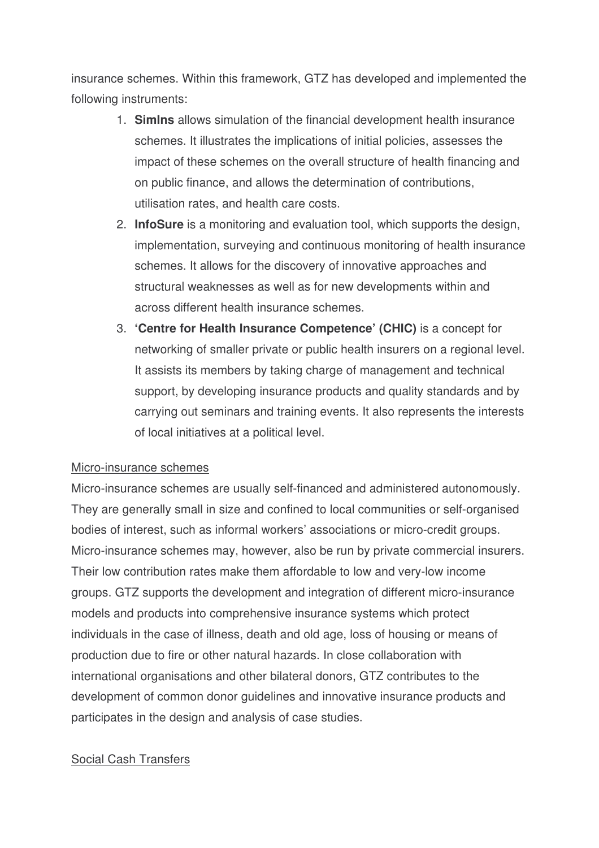insurance schemes. Within this framework, GTZ has developed and implemented the following instruments:

- 1. **SimIns** allows simulation of the financial development health insurance schemes. It illustrates the implications of initial policies, assesses the impact of these schemes on the overall structure of health financing and on public finance, and allows the determination of contributions, utilisation rates, and health care costs.
- 2. **InfoSure** is a monitoring and evaluation tool, which supports the design, implementation, surveying and continuous monitoring of health insurance schemes. It allows for the discovery of innovative approaches and structural weaknesses as well as for new developments within and across different health insurance schemes.
- 3. **'Centre for Health Insurance Competence' (CHIC)** is a concept for networking of smaller private or public health insurers on a regional level. It assists its members by taking charge of management and technical support, by developing insurance products and quality standards and by carrying out seminars and training events. It also represents the interests of local initiatives at a political level.

### Micro-insurance schemes

Micro-insurance schemes are usually self-financed and administered autonomously. They are generally small in size and confined to local communities or self-organised bodies of interest, such as informal workers' associations or micro-credit groups. Micro-insurance schemes may, however, also be run by private commercial insurers. Their low contribution rates make them affordable to low and very-low income groups. GTZ supports the development and integration of different micro-insurance models and products into comprehensive insurance systems which protect individuals in the case of illness, death and old age, loss of housing or means of production due to fire or other natural hazards. In close collaboration with international organisations and other bilateral donors, GTZ contributes to the development of common donor guidelines and innovative insurance products and participates in the design and analysis of case studies.

# Social Cash Transfers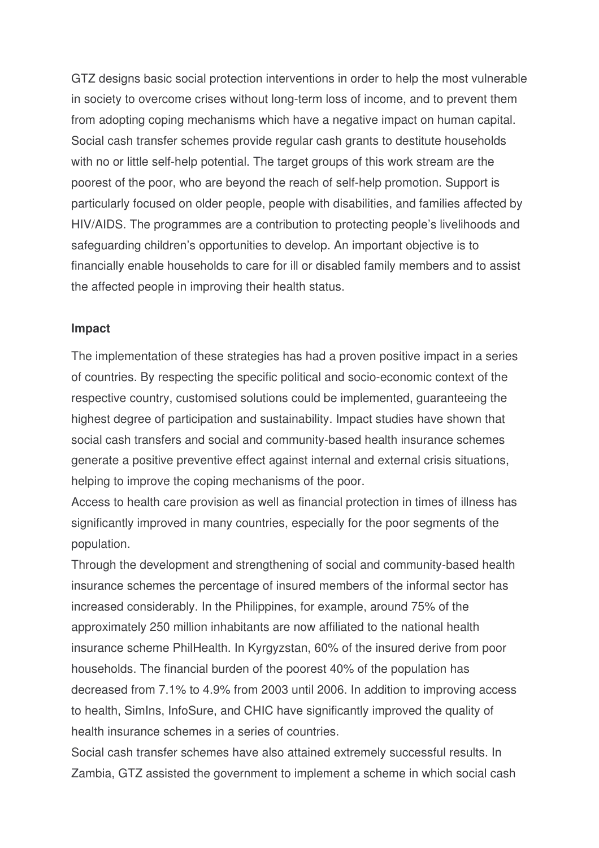GTZ designs basic social protection interventions in order to help the most vulnerable in society to overcome crises without long-term loss of income, and to prevent them from adopting coping mechanisms which have a negative impact on human capital. Social cash transfer schemes provide regular cash grants to destitute households with no or little self-help potential. The target groups of this work stream are the poorest of the poor, who are beyond the reach of self-help promotion. Support is particularly focused on older people, people with disabilities, and families affected by HIV/AIDS. The programmes are a contribution to protecting people's livelihoods and safeguarding children's opportunities to develop. An important objective is to financially enable households to care for ill or disabled family members and to assist the affected people in improving their health status.

### **Impact**

The implementation of these strategies has had a proven positive impact in a series of countries. By respecting the specific political and socio-economic context of the respective country, customised solutions could be implemented, guaranteeing the highest degree of participation and sustainability. Impact studies have shown that social cash transfers and social and community-based health insurance schemes generate a positive preventive effect against internal and external crisis situations, helping to improve the coping mechanisms of the poor.

Access to health care provision as well as financial protection in times of illness has significantly improved in many countries, especially for the poor segments of the population.

Through the development and strengthening of social and community-based health insurance schemes the percentage of insured members of the informal sector has increased considerably. In the Philippines, for example, around 75% of the approximately 250 million inhabitants are now affiliated to the national health insurance scheme PhilHealth. In Kyrgyzstan, 60% of the insured derive from poor households. The financial burden of the poorest 40% of the population has decreased from 7.1% to 4.9% from 2003 until 2006. In addition to improving access to health, SimIns, InfoSure, and CHIC have significantly improved the quality of health insurance schemes in a series of countries.

Social cash transfer schemes have also attained extremely successful results. In Zambia, GTZ assisted the government to implement a scheme in which social cash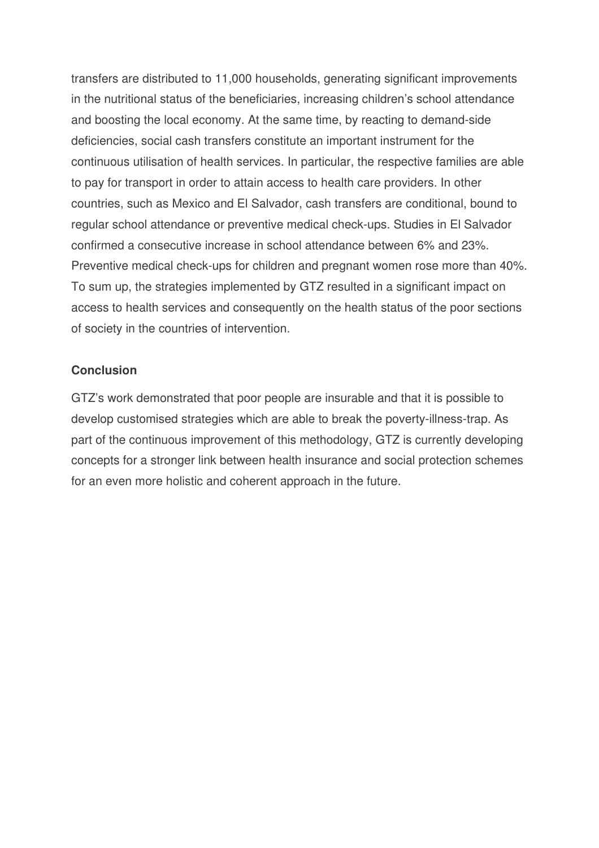transfers are distributed to 11,000 households, generating significant improvements in the nutritional status of the beneficiaries, increasing children's school attendance and boosting the local economy. At the same time, by reacting to demand-side deficiencies, social cash transfers constitute an important instrument for the continuous utilisation of health services. In particular, the respective families are able to pay for transport in order to attain access to health care providers. In other countries, such as Mexico and El Salvador, cash transfers are conditional, bound to regular school attendance or preventive medical check-ups. Studies in El Salvador confirmed a consecutive increase in school attendance between 6% and 23%. Preventive medical check-ups for children and pregnant women rose more than 40%. To sum up, the strategies implemented by GTZ resulted in a significant impact on access to health services and consequently on the health status of the poor sections of society in the countries of intervention.

## **Conclusion**

GTZ's work demonstrated that poor people are insurable and that it is possible to develop customised strategies which are able to break the poverty-illness-trap. As part of the continuous improvement of this methodology, GTZ is currently developing concepts for a stronger link between health insurance and social protection schemes for an even more holistic and coherent approach in the future.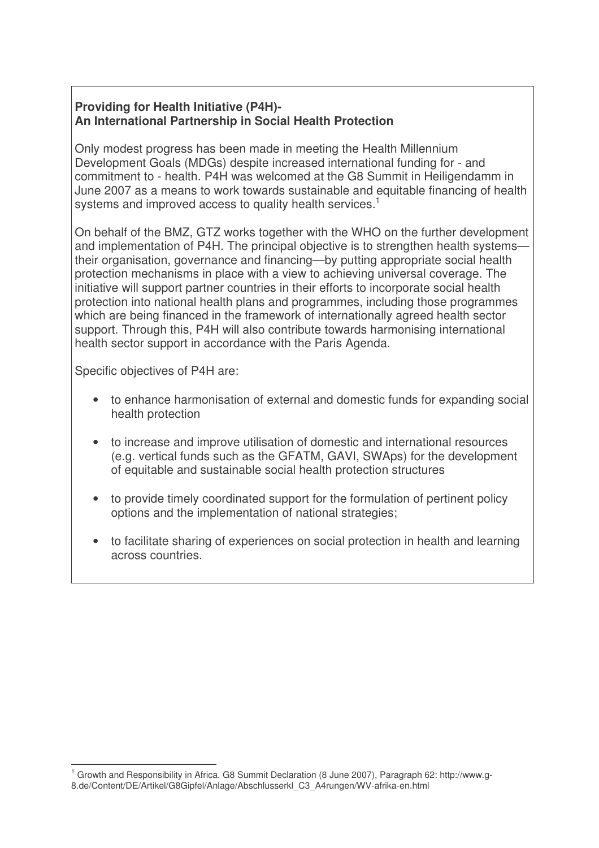# **Providing for Health Initiative (P4H)- An International Partnership in Social Health Protection**

Only modest progress has been made in meeting the Health Millennium Development Goals (MDGs) despite increased international funding for - and commitment to - health. P4H was welcomed at the G8 Summit in Heiligendamm in June 2007 as a means to work towards sustainable and equitable financing of health systems and improved access to quality health services.<sup>1</sup>

On behalf of the BMZ, GTZ works together with the WHO on the further development and implementation of P4H. The principal objective is to strengthen health systems their organisation, governance and financing—by putting appropriate social health protection mechanisms in place with a view to achieving universal coverage. The initiative will support partner countries in their efforts to incorporate social health protection into national health plans and programmes, including those programmes which are being financed in the framework of internationally agreed health sector support. Through this, P4H will also contribute towards harmonising international health sector support in accordance with the Paris Agenda.

Specific objectives of P4H are:

- to enhance harmonisation of external and domestic funds for expanding social health protection
- to increase and improve utilisation of domestic and international resources (e.g. vertical funds such as the GFATM, GAVI, SWAps) for the development of equitable and sustainable social health protection structures
- to provide timely coordinated support for the formulation of pertinent policy options and the implementation of national strategies;
- to facilitate sharing of experiences on social protection in health and learning across countries.

<sup>1</sup> Growth and Responsibility in Africa. G8 Summit Declaration (8 June 2007), Paragraph 62: http://www.g-8.de/Content/DE/Artikel/G8Gipfel/Anlage/Abschlusserkl\_C3\_A4rungen/WV-afrika-en.html